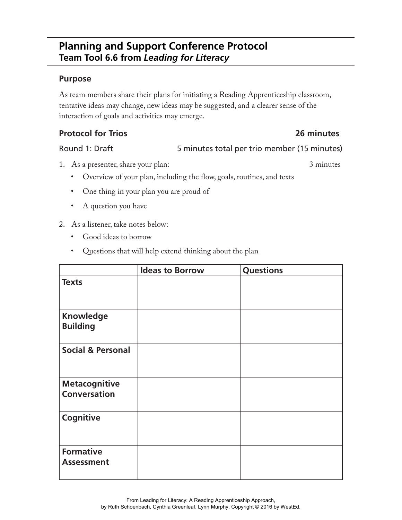# **Planning and Support Conference Protocol Team Tool 6.6 from** *Leading for Literacy*

### **Purpose**

As team members share their plans for initiating a Reading Apprenticeship classroom, tentative ideas may change, new ideas may be suggested, and a clearer sense of the interaction of goals and activities may emerge.

## **Protocol for Trios 26 minutes**

### Round 1: Draft 5 minutes total per trio member (15 minutes)

- 1. As a presenter, share your plan: 3 minutes
	-
	- Overview of your plan, including the flow, goals, routines, and texts
	- One thing in your plan you are proud of
	- A question you have
- 2. As a listener, take notes below:
	- Good ideas to borrow
	- Questions that will help extend thinking about the plan

|                                             | <b>Ideas to Borrow</b> | <b>Questions</b> |
|---------------------------------------------|------------------------|------------------|
| <b>Texts</b>                                |                        |                  |
| <b>Knowledge</b><br><b>Building</b>         |                        |                  |
| <b>Social &amp; Personal</b>                |                        |                  |
| <b>Metacognitive</b><br><b>Conversation</b> |                        |                  |
| Cognitive                                   |                        |                  |
| <b>Formative</b><br><b>Assessment</b>       |                        |                  |